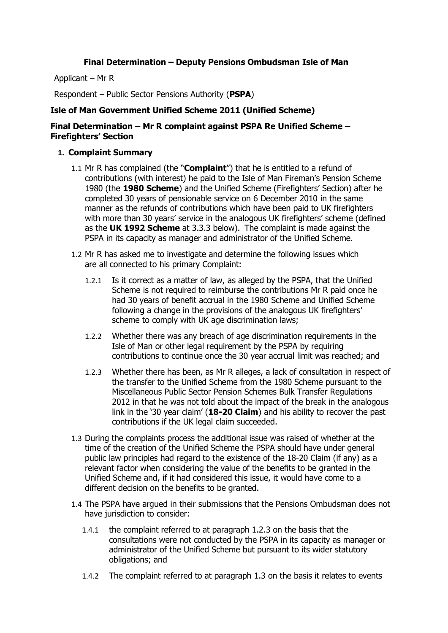### **Final Determination – Deputy Pensions Ombudsman Isle of Man**

Applicant – Mr R

Respondent – Public Sector Pensions Authority (**PSPA**)

### **Isle of Man Government Unified Scheme 2011 (Unified Scheme)**

### **Final Determination – Mr R complaint against PSPA Re Unified Scheme – Firefighters' Section**

### **1. Complaint Summary**

- 1.1 Mr R has complained (the "**Complaint**") that he is entitled to a refund of contributions (with interest) he paid to the Isle of Man Fireman's Pension Scheme 1980 (the **1980 Scheme**) and the Unified Scheme (Firefighters' Section) after he completed 30 years of pensionable service on 6 December 2010 in the same manner as the refunds of contributions which have been paid to UK firefighters with more than 30 years' service in the analogous UK firefighters' scheme (defined as the **UK 1992 Scheme** at 3.3.3 below). The complaint is made against the PSPA in its capacity as manager and administrator of the Unified Scheme.
- 1.2 Mr R has asked me to investigate and determine the following issues which are all connected to his primary Complaint:
	- 1.2.1 Is it correct as a matter of law, as alleged by the PSPA, that the Unified Scheme is not required to reimburse the contributions Mr R paid once he had 30 years of benefit accrual in the 1980 Scheme and Unified Scheme following a change in the provisions of the analogous UK firefighters' scheme to comply with UK age discrimination laws;
	- 1.2.2 Whether there was any breach of age discrimination requirements in the Isle of Man or other legal requirement by the PSPA by requiring contributions to continue once the 30 year accrual limit was reached; and
	- 1.2.3 Whether there has been, as Mr R alleges, a lack of consultation in respect of the transfer to the Unified Scheme from the 1980 Scheme pursuant to the Miscellaneous Public Sector Pension Schemes Bulk Transfer Regulations 2012 in that he was not told about the impact of the break in the analogous link in the '30 year claim' (**18-20 Claim**) and his ability to recover the past contributions if the UK legal claim succeeded.
- 1.3 During the complaints process the additional issue was raised of whether at the time of the creation of the Unified Scheme the PSPA should have under general public law principles had regard to the existence of the 18-20 Claim (if any) as a relevant factor when considering the value of the benefits to be granted in the Unified Scheme and, if it had considered this issue, it would have come to a different decision on the benefits to be granted.
- 1.4 The PSPA have argued in their submissions that the Pensions Ombudsman does not have jurisdiction to consider:
	- 1.4.1 the complaint referred to at paragraph 1.2.3 on the basis that the consultations were not conducted by the PSPA in its capacity as manager or administrator of the Unified Scheme but pursuant to its wider statutory obligations; and
	- 1.4.2 The complaint referred to at paragraph 1.3 on the basis it relates to events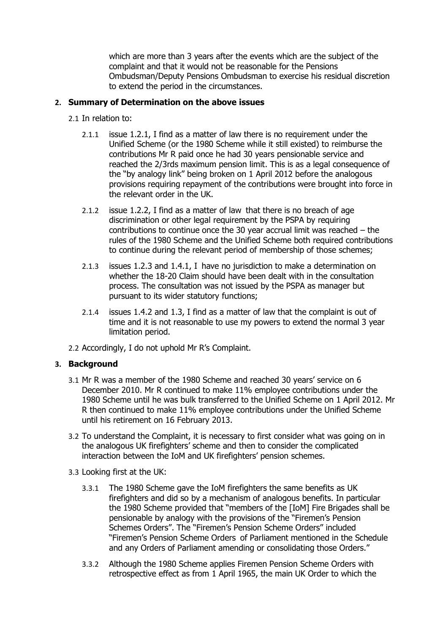which are more than 3 years after the events which are the subject of the complaint and that it would not be reasonable for the Pensions Ombudsman/Deputy Pensions Ombudsman to exercise his residual discretion to extend the period in the circumstances.

# **2. Summary of Determination on the above issues**

- 2.1 In relation to:
	- 2.1.1 issue 1.2.1, I find as a matter of law there is no requirement under the Unified Scheme (or the 1980 Scheme while it still existed) to reimburse the contributions Mr R paid once he had 30 years pensionable service and reached the 2/3rds maximum pension limit. This is as a legal consequence of the "by analogy link" being broken on 1 April 2012 before the analogous provisions requiring repayment of the contributions were brought into force in the relevant order in the UK.
	- 2.1.2 issue 1.2.2, I find as a matter of law that there is no breach of age discrimination or other legal requirement by the PSPA by requiring contributions to continue once the 30 year accrual limit was reached – the rules of the 1980 Scheme and the Unified Scheme both required contributions to continue during the relevant period of membership of those schemes;
	- 2.1.3 issues 1.2.3 and 1.4.1, I have no jurisdiction to make a determination on whether the 18-20 Claim should have been dealt with in the consultation process. The consultation was not issued by the PSPA as manager but pursuant to its wider statutory functions;
	- 2.1.4 issues 1.4.2 and 1.3, I find as a matter of law that the complaint is out of time and it is not reasonable to use my powers to extend the normal 3 year limitation period.
- 2.2 Accordingly, I do not uphold Mr R's Complaint.

## **3. Background**

- 3.1 Mr R was a member of the 1980 Scheme and reached 30 years' service on 6 December 2010. Mr R continued to make 11% employee contributions under the 1980 Scheme until he was bulk transferred to the Unified Scheme on 1 April 2012. Mr R then continued to make 11% employee contributions under the Unified Scheme until his retirement on 16 February 2013.
- 3.2 To understand the Complaint, it is necessary to first consider what was going on in the analogous UK firefighters' scheme and then to consider the complicated interaction between the IoM and UK firefighters' pension schemes.
- 3.3 Looking first at the UK:
	- 3.3.1 The 1980 Scheme gave the IoM firefighters the same benefits as UK firefighters and did so by a mechanism of analogous benefits. In particular the 1980 Scheme provided that "members of the [IoM] Fire Brigades shall be pensionable by analogy with the provisions of the "Firemen's Pension Schemes Orders". The "Firemen's Pension Scheme Orders" included "Firemen's Pension Scheme Orders of Parliament mentioned in the Schedule and any Orders of Parliament amending or consolidating those Orders."
	- 3.3.2 Although the 1980 Scheme applies Firemen Pension Scheme Orders with retrospective effect as from 1 April 1965, the main UK Order to which the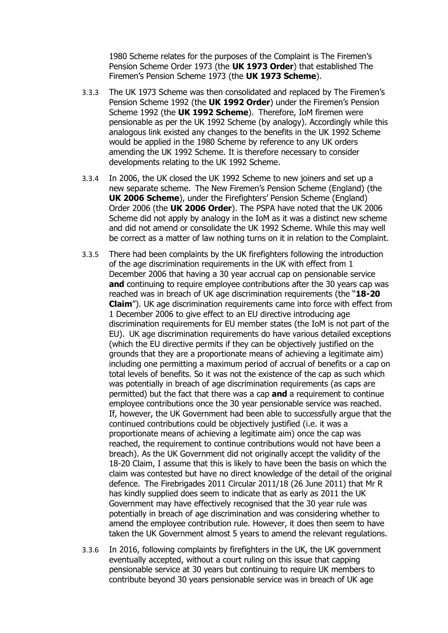1980 Scheme relates for the purposes of the Complaint is The Firemen's Pension Scheme Order 1973 (the **UK 1973 Order**) that established The Firemen's Pension Scheme 1973 (the **UK 1973 Scheme**).

- 3.3.3 The UK 1973 Scheme was then consolidated and replaced by The Firemen's Pension Scheme 1992 (the **UK 1992 Order**) under the Firemen's Pension Scheme 1992 (the **UK 1992 Scheme**). Therefore, IoM firemen were pensionable as per the UK 1992 Scheme (by analogy). Accordingly while this analogous link existed any changes to the benefits in the UK 1992 Scheme would be applied in the 1980 Scheme by reference to any UK orders amending the UK 1992 Scheme. It is therefore necessary to consider developments relating to the UK 1992 Scheme.
- 3.3.4 In 2006, the UK closed the UK 1992 Scheme to new joiners and set up a new separate scheme. The New Firemen's Pension Scheme (England) (the **UK 2006 Scheme**), under the Firefighters' Pension Scheme (England) Order 2006 (the **UK 2006 Order**). The PSPA have noted that the UK 2006 Scheme did not apply by analogy in the IoM as it was a distinct new scheme and did not amend or consolidate the UK 1992 Scheme. While this may well be correct as a matter of law nothing turns on it in relation to the Complaint.
- 3.3.5 There had been complaints by the UK firefighters following the introduction of the age discrimination requirements in the UK with effect from 1 December 2006 that having a 30 year accrual cap on pensionable service **and** continuing to require employee contributions after the 30 years cap was reached was in breach of UK age discrimination requirements (the "**18-20 Claim**"). UK age discrimination requirements came into force with effect from 1 December 2006 to give effect to an EU directive introducing age discrimination requirements for EU member states (the IoM is not part of the EU). UK age discrimination requirements do have various detailed exceptions (which the EU directive permits if they can be objectively justified on the grounds that they are a proportionate means of achieving a legitimate aim) including one permitting a maximum period of accrual of benefits or a cap on total levels of benefits. So it was not the existence of the cap as such which was potentially in breach of age discrimination requirements (as caps are permitted) but the fact that there was a cap **and** a requirement to continue employee contributions once the 30 year pensionable service was reached. If, however, the UK Government had been able to successfully argue that the continued contributions could be objectively justified (i.e. it was a proportionate means of achieving a legitimate aim) once the cap was reached, the requirement to continue contributions would not have been a breach). As the UK Government did not originally accept the validity of the 18-20 Claim, I assume that this is likely to have been the basis on which the claim was contested but have no direct knowledge of the detail of the original defence. The Firebrigades 2011 Circular 2011/18 (26 June 2011) that Mr R has kindly supplied does seem to indicate that as early as 2011 the UK Government may have effectively recognised that the 30 year rule was potentially in breach of age discrimination and was considering whether to amend the employee contribution rule. However, it does then seem to have taken the UK Government almost 5 years to amend the relevant regulations.
- 3.3.6 In 2016, following complaints by firefighters in the UK, the UK government eventually accepted, without a court ruling on this issue that capping pensionable service at 30 years but continuing to require UK members to contribute beyond 30 years pensionable service was in breach of UK age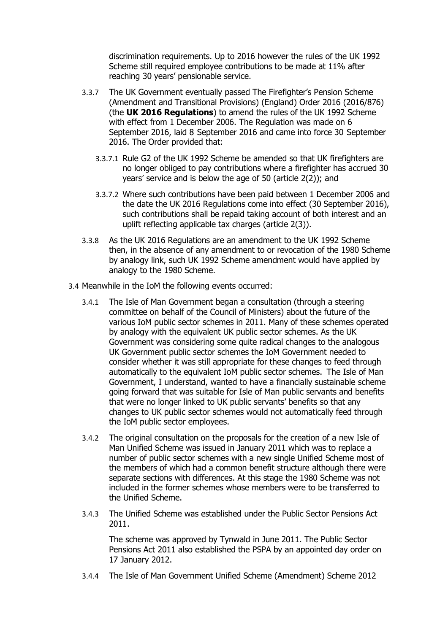discrimination requirements. Up to 2016 however the rules of the UK 1992 Scheme still required employee contributions to be made at 11% after reaching 30 years' pensionable service.

- 3.3.7 The UK Government eventually passed The Firefighter's Pension Scheme (Amendment and Transitional Provisions) (England) Order 2016 (2016/876) (the **UK 2016 Regulations**) to amend the rules of the UK 1992 Scheme with effect from 1 December 2006. The Regulation was made on 6 September 2016, laid 8 September 2016 and came into force 30 September 2016. The Order provided that:
	- 3.3.7.1 Rule G2 of the UK 1992 Scheme be amended so that UK firefighters are no longer obliged to pay contributions where a firefighter has accrued 30 years' service and is below the age of 50 (article 2(2)); and
	- 3.3.7.2 Where such contributions have been paid between 1 December 2006 and the date the UK 2016 Regulations come into effect (30 September 2016), such contributions shall be repaid taking account of both interest and an uplift reflecting applicable tax charges (article 2(3)).
- 3.3.8 As the UK 2016 Regulations are an amendment to the UK 1992 Scheme then, in the absence of any amendment to or revocation of the 1980 Scheme by analogy link, such UK 1992 Scheme amendment would have applied by analogy to the 1980 Scheme.
- 3.4 Meanwhile in the IoM the following events occurred:
	- 3.4.1 The Isle of Man Government began a consultation (through a steering committee on behalf of the Council of Ministers) about the future of the various IoM public sector schemes in 2011. Many of these schemes operated by analogy with the equivalent UK public sector schemes. As the UK Government was considering some quite radical changes to the analogous UK Government public sector schemes the IoM Government needed to consider whether it was still appropriate for these changes to feed through automatically to the equivalent IoM public sector schemes. The Isle of Man Government, I understand, wanted to have a financially sustainable scheme going forward that was suitable for Isle of Man public servants and benefits that were no longer linked to UK public servants' benefits so that any changes to UK public sector schemes would not automatically feed through the IoM public sector employees.
	- 3.4.2 The original consultation on the proposals for the creation of a new Isle of Man Unified Scheme was issued in January 2011 which was to replace a number of public sector schemes with a new single Unified Scheme most of the members of which had a common benefit structure although there were separate sections with differences. At this stage the 1980 Scheme was not included in the former schemes whose members were to be transferred to the Unified Scheme.
	- 3.4.3 The Unified Scheme was established under the Public Sector Pensions Act 2011.

The scheme was approved by Tynwald in June 2011. The Public Sector Pensions Act 2011 also established the PSPA by an appointed day order on 17 January 2012.

3.4.4 The Isle of Man Government Unified Scheme (Amendment) Scheme 2012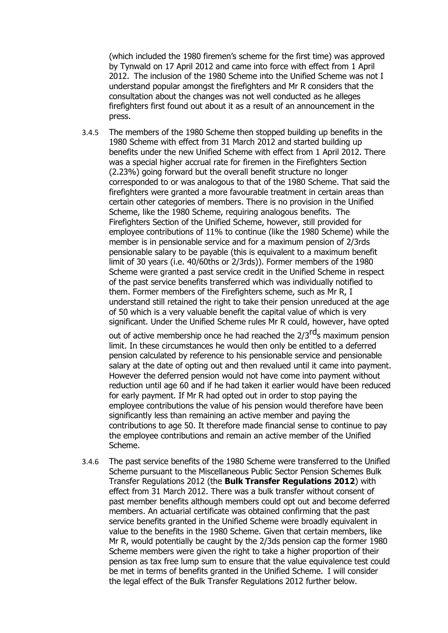(which included the 1980 firemen's scheme for the first time) was approved by Tynwald on 17 April 2012 and came into force with effect from 1 April 2012. The inclusion of the 1980 Scheme into the Unified Scheme was not I understand popular amongst the firefighters and Mr R considers that the consultation about the changes was not well conducted as he alleges firefighters first found out about it as a result of an announcement in the press.

3.4.5 The members of the 1980 Scheme then stopped building up benefits in the 1980 Scheme with effect from 31 March 2012 and started building up benefits under the new Unified Scheme with effect from 1 April 2012. There was a special higher accrual rate for firemen in the Firefighters Section (2.23%) going forward but the overall benefit structure no longer corresponded to or was analogous to that of the 1980 Scheme. That said the firefighters were granted a more favourable treatment in certain areas than certain other categories of members. There is no provision in the Unified Scheme, like the 1980 Scheme, requiring analogous benefits. The Firefighters Section of the Unified Scheme, however, still provided for employee contributions of 11% to continue (like the 1980 Scheme) while the member is in pensionable service and for a maximum pension of 2/3rds pensionable salary to be payable (this is equivalent to a maximum benefit limit of 30 years (i.e. 40/60ths or 2/3rds)). Former members of the 1980 Scheme were granted a past service credit in the Unified Scheme in respect of the past service benefits transferred which was individually notified to them. Former members of the Firefighters scheme, such as Mr R, I understand still retained the right to take their pension unreduced at the age of 50 which is a very valuable benefit the capital value of which is very significant. Under the Unified Scheme rules Mr R could, however, have opted

out of active membership once he had reached the 2/3<sup>rd</sup>s maximum pension limit. In these circumstances he would then only be entitled to a deferred pension calculated by reference to his pensionable service and pensionable salary at the date of opting out and then revalued until it came into payment. However the deferred pension would not have come into payment without reduction until age 60 and if he had taken it earlier would have been reduced for early payment. If Mr R had opted out in order to stop paying the employee contributions the value of his pension would therefore have been significantly less than remaining an active member and paying the contributions to age 50. It therefore made financial sense to continue to pay the employee contributions and remain an active member of the Unified Scheme.

3.4.6 The past service benefits of the 1980 Scheme were transferred to the Unified Scheme pursuant to the Miscellaneous Public Sector Pension Schemes Bulk Transfer Regulations 2012 (the **Bulk Transfer Regulations 2012**) with effect from 31 March 2012. There was a bulk transfer without consent of past member benefits although members could opt out and become deferred members. An actuarial certificate was obtained confirming that the past service benefits granted in the Unified Scheme were broadly equivalent in value to the benefits in the 1980 Scheme. Given that certain members, like Mr R, would potentially be caught by the 2/3ds pension cap the former 1980 Scheme members were given the right to take a higher proportion of their pension as tax free lump sum to ensure that the value equivalence test could be met in terms of benefits granted in the Unified Scheme. I will consider the legal effect of the Bulk Transfer Regulations 2012 further below.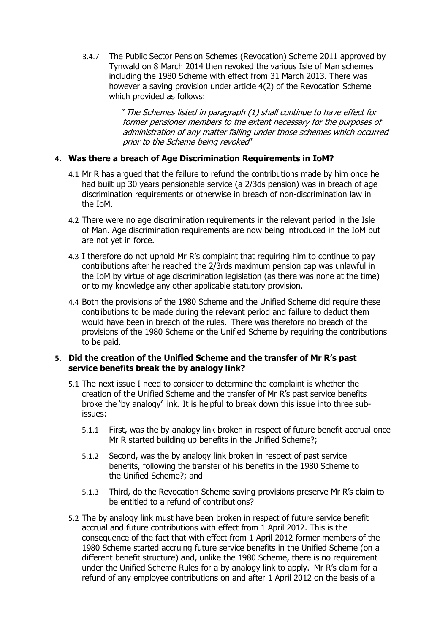3.4.7 The Public Sector Pension Schemes (Revocation) Scheme 2011 approved by Tynwald on 8 March 2014 then revoked the various Isle of Man schemes including the 1980 Scheme with effect from 31 March 2013. There was however a saving provision under article 4(2) of the Revocation Scheme which provided as follows:

> "The Schemes listed in paragraph (1) shall continue to have effect for former pensioner members to the extent necessary for the purposes of administration of any matter falling under those schemes which occurred prior to the Scheme being revoked"

# **4. Was there a breach of Age Discrimination Requirements in IoM?**

- 4.1 Mr R has argued that the failure to refund the contributions made by him once he had built up 30 years pensionable service (a 2/3ds pension) was in breach of age discrimination requirements or otherwise in breach of non-discrimination law in the IoM.
- 4.2 There were no age discrimination requirements in the relevant period in the Isle of Man. Age discrimination requirements are now being introduced in the IoM but are not yet in force.
- 4.3 I therefore do not uphold Mr R's complaint that requiring him to continue to pay contributions after he reached the 2/3rds maximum pension cap was unlawful in the IoM by virtue of age discrimination legislation (as there was none at the time) or to my knowledge any other applicable statutory provision.
- 4.4 Both the provisions of the 1980 Scheme and the Unified Scheme did require these contributions to be made during the relevant period and failure to deduct them would have been in breach of the rules. There was therefore no breach of the provisions of the 1980 Scheme or the Unified Scheme by requiring the contributions to be paid.

### **5. Did the creation of the Unified Scheme and the transfer of Mr R's past service benefits break the by analogy link?**

- 5.1 The next issue I need to consider to determine the complaint is whether the creation of the Unified Scheme and the transfer of Mr R's past service benefits broke the 'by analogy' link. It is helpful to break down this issue into three subissues:
	- 5.1.1 First, was the by analogy link broken in respect of future benefit accrual once Mr R started building up benefits in the Unified Scheme?;
	- 5.1.2 Second, was the by analogy link broken in respect of past service benefits, following the transfer of his benefits in the 1980 Scheme to the Unified Scheme?; and
	- 5.1.3 Third, do the Revocation Scheme saving provisions preserve Mr R's claim to be entitled to a refund of contributions?
- 5.2 The by analogy link must have been broken in respect of future service benefit accrual and future contributions with effect from 1 April 2012. This is the consequence of the fact that with effect from 1 April 2012 former members of the 1980 Scheme started accruing future service benefits in the Unified Scheme (on a different benefit structure) and, unlike the 1980 Scheme, there is no requirement under the Unified Scheme Rules for a by analogy link to apply. Mr R's claim for a refund of any employee contributions on and after 1 April 2012 on the basis of a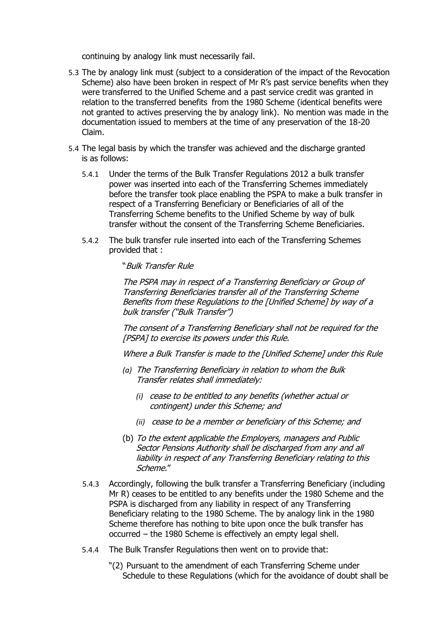continuing by analogy link must necessarily fail.

- 5.3 The by analogy link must (subject to a consideration of the impact of the Revocation Scheme) also have been broken in respect of Mr R's past service benefits when they were transferred to the Unified Scheme and a past service credit was granted in relation to the transferred benefits from the 1980 Scheme (identical benefits were not granted to actives preserving the by analogy link). No mention was made in the documentation issued to members at the time of any preservation of the 18-20 Claim.
- 5.4 The legal basis by which the transfer was achieved and the discharge granted is as follows:
	- 5.4.1 Under the terms of the Bulk Transfer Regulations 2012 a bulk transfer power was inserted into each of the Transferring Schemes immediately before the transfer took place enabling the PSPA to make a bulk transfer in respect of a Transferring Beneficiary or Beneficiaries of all of the Transferring Scheme benefits to the Unified Scheme by way of bulk transfer without the consent of the Transferring Scheme Beneficiaries.
	- 5.4.2 The bulk transfer rule inserted into each of the Transferring Schemes provided that :

"Bulk Transfer Rule

The PSPA may in respect of a Transferring Beneficiary or Group of Transferring Beneficiaries transfer all of the Transferring Scheme Benefits from these Regulations to the [Unified Scheme] by way of a bulk transfer ("Bulk Transfer")

The consent of a Transferring Beneficiary shall not be required for the [PSPA] to exercise its powers under this Rule.

Where a Bulk Transfer is made to the [Unified Scheme] under this Rule

- *(a)* The Transferring Beneficiary in relation to whom the Bulk Transfer relates shall immediately:
	- *(i)* cease to be entitled to any benefits (whether actual or contingent) under this Scheme; and
	- *(ii)* cease to be a member or beneficiary of this Scheme; and
- (b) To the extent applicable the Employers, managers and Public Sector Pensions Authority shall be discharged from any and all liability in respect of any Transferring Beneficiary relating to this Scheme."
- 5.4.3 Accordingly, following the bulk transfer a Transferring Beneficiary (including Mr R) ceases to be entitled to any benefits under the 1980 Scheme and the PSPA is discharged from any liability in respect of any Transferring Beneficiary relating to the 1980 Scheme. The by analogy link in the 1980 Scheme therefore has nothing to bite upon once the bulk transfer has occurred – the 1980 Scheme is effectively an empty legal shell.
- 5.4.4 The Bulk Transfer Regulations then went on to provide that:
	- "(2) Pursuant to the amendment of each Transferring Scheme under Schedule to these Regulations (which for the avoidance of doubt shall be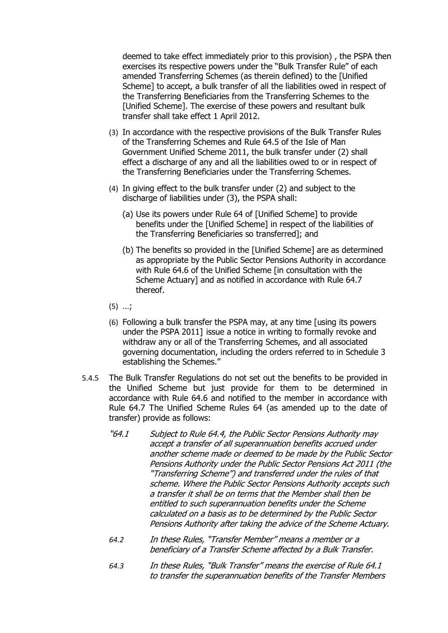deemed to take effect immediately prior to this provision) , the PSPA then exercises its respective powers under the "Bulk Transfer Rule" of each amended Transferring Schemes (as therein defined) to the [Unified Scheme] to accept, a bulk transfer of all the liabilities owed in respect of the Transferring Beneficiaries from the Transferring Schemes to the [Unified Scheme]. The exercise of these powers and resultant bulk transfer shall take effect 1 April 2012.

- (3) In accordance with the respective provisions of the Bulk Transfer Rules of the Transferring Schemes and Rule 64.5 of the Isle of Man Government Unified Scheme 2011, the bulk transfer under (2) shall effect a discharge of any and all the liabilities owed to or in respect of the Transferring Beneficiaries under the Transferring Schemes.
- (4) In giving effect to the bulk transfer under (2) and subject to the discharge of liabilities under (3), the PSPA shall:
	- (a) Use its powers under Rule 64 of [Unified Scheme] to provide benefits under the [Unified Scheme] in respect of the liabilities of the Transferring Beneficiaries so transferred]; and
	- (b) The benefits so provided in the [Unified Scheme] are as determined as appropriate by the Public Sector Pensions Authority in accordance with Rule 64.6 of the Unified Scheme [in consultation with the Scheme Actuary] and as notified in accordance with Rule 64.7 thereof.
- (5) …;
- (6) Following a bulk transfer the PSPA may, at any time [using its powers under the PSPA 2011] issue a notice in writing to formally revoke and withdraw any or all of the Transferring Schemes, and all associated governing documentation, including the orders referred to in Schedule 3 establishing the Schemes."
- 5.4.5 The Bulk Transfer Regulations do not set out the benefits to be provided in the Unified Scheme but just provide for them to be determined in accordance with Rule 64.6 and notified to the member in accordance with Rule 64.7 The Unified Scheme Rules 64 (as amended up to the date of transfer) provide as follows:
	- "64.1 Subject to Rule 64.4, the Public Sector Pensions Authority may accept a transfer of all superannuation benefits accrued under another scheme made or deemed to be made by the Public Sector Pensions Authority under the Public Sector Pensions Act 2011 (the "Transferring Scheme") and transferred under the rules of that scheme. Where the Public Sector Pensions Authority accepts such a transfer it shall be on terms that the Member shall then be entitled to such superannuation benefits under the Scheme calculated on a basis as to be determined by the Public Sector Pensions Authority after taking the advice of the Scheme Actuary.
	- *64.2* In these Rules, "Transfer Member" means <sup>a</sup> member or <sup>a</sup> beneficiary of a Transfer Scheme affected by a Bulk Transfer.
	- *64.3* In these Rules, "Bulk Transfer" means the exercise of Rule 64.1 to transfer the superannuation benefits of the Transfer Members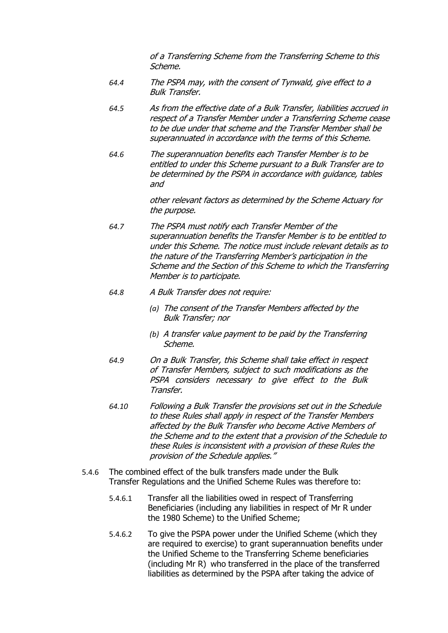of a Transferring Scheme from the Transferring Scheme to this Scheme.

- *64.4* The PSPA may, with the consent of Tynwald, give effect to a Bulk Transfer.
- *64.5* As from the effective date of a Bulk Transfer, liabilities accrued in respect of a Transfer Member under a Transferring Scheme cease to be due under that scheme and the Transfer Member shall be superannuated in accordance with the terms of this Scheme.
- *64.6* The superannuation benefits each Transfer Member is to be entitled to under this Scheme pursuant to a Bulk Transfer are to be determined by the PSPA in accordance with guidance, tables and

other relevant factors as determined by the Scheme Actuary for the purpose.

- *64.7* The PSPA must notify each Transfer Member of the superannuation benefits the Transfer Member is to be entitled to under this Scheme. The notice must include relevant details as to the nature of the Transferring Member'<sup>s</sup> participation in the Scheme and the Section of this Scheme to which the Transferring Member is to participate.
- *64.8* A Bulk Transfer does not require:
	- *(a)* The consent of the Transfer Members affected by the Bulk Transfer; nor
	- *(b)* A transfer value payment to be paid by the Transferring Scheme.
- *64.9* On a Bulk Transfer, this Scheme shall take effect in respect of Transfer Members, subject to such modifications as the PSPA considers necessary to give effect to the Bulk Transfer.
- *64.10* Following a Bulk Transfer the provisions set out in the Schedule to these Rules shall apply in respect of the Transfer Members affected by the Bulk Transfer who become Active Members of the Scheme and to the extent that a provision of the Schedule to these Rules is inconsistent with a provision of these Rules the provision of the Schedule applies."
- 5.4.6 The combined effect of the bulk transfers made under the Bulk Transfer Regulations and the Unified Scheme Rules was therefore to:
	- 5.4.6.1 Transfer all the liabilities owed in respect of Transferring Beneficiaries (including any liabilities in respect of Mr R under the 1980 Scheme) to the Unified Scheme;
	- 5.4.6.2 To give the PSPA power under the Unified Scheme (which they are required to exercise) to grant superannuation benefits under the Unified Scheme to the Transferring Scheme beneficiaries (including Mr R) who transferred in the place of the transferred liabilities as determined by the PSPA after taking the advice of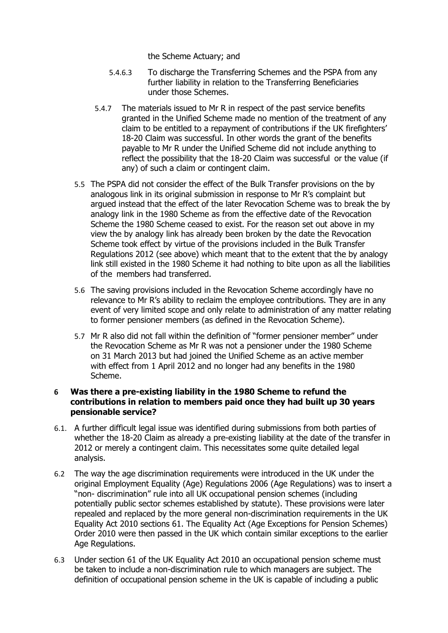the Scheme Actuary; and

- 5.4.6.3 To discharge the Transferring Schemes and the PSPA from any further liability in relation to the Transferring Beneficiaries under those Schemes.
- 5.4.7 The materials issued to Mr R in respect of the past service benefits granted in the Unified Scheme made no mention of the treatment of any claim to be entitled to a repayment of contributions if the UK firefighters' 18-20 Claim was successful. In other words the grant of the benefits payable to Mr R under the Unified Scheme did not include anything to reflect the possibility that the 18-20 Claim was successful or the value (if any) of such a claim or contingent claim.
- 5.5 The PSPA did not consider the effect of the Bulk Transfer provisions on the by analogous link in its original submission in response to Mr R's complaint but argued instead that the effect of the later Revocation Scheme was to break the by analogy link in the 1980 Scheme as from the effective date of the Revocation Scheme the 1980 Scheme ceased to exist. For the reason set out above in my view the by analogy link has already been broken by the date the Revocation Scheme took effect by virtue of the provisions included in the Bulk Transfer Regulations 2012 (see above) which meant that to the extent that the by analogy link still existed in the 1980 Scheme it had nothing to bite upon as all the liabilities of the members had transferred.
- 5.6 The saving provisions included in the Revocation Scheme accordingly have no relevance to Mr R's ability to reclaim the employee contributions. They are in any event of very limited scope and only relate to administration of any matter relating to former pensioner members (as defined in the Revocation Scheme).
- 5.7 Mr R also did not fall within the definition of "former pensioner member" under the Revocation Scheme as Mr R was not a pensioner under the 1980 Scheme on 31 March 2013 but had joined the Unified Scheme as an active member with effect from 1 April 2012 and no longer had any benefits in the 1980 Scheme.

#### **6 Was there a pre-existing liability in the 1980 Scheme to refund the contributions in relation to members paid once they had built up 30 years pensionable service?**

- 6.1. A further difficult legal issue was identified during submissions from both parties of whether the 18-20 Claim as already a pre-existing liability at the date of the transfer in 2012 or merely a contingent claim. This necessitates some quite detailed legal analysis.
- 6.2 The way the age discrimination requirements were introduced in the UK under the original Employment Equality (Age) Regulations 2006 (Age Regulations) was to insert a "non- discrimination" rule into all UK occupational pension schemes (including potentially public sector schemes established by statute). These provisions were later repealed and replaced by the more general non-discrimination requirements in the UK Equality Act 2010 sections 61. The Equality Act (Age Exceptions for Pension Schemes) Order 2010 were then passed in the UK which contain similar exceptions to the earlier Age Regulations.
- 6.3 Under section 61 of the UK Equality Act 2010 an occupational pension scheme must be taken to include a non-discrimination rule to which managers are subject. The definition of occupational pension scheme in the UK is capable of including a public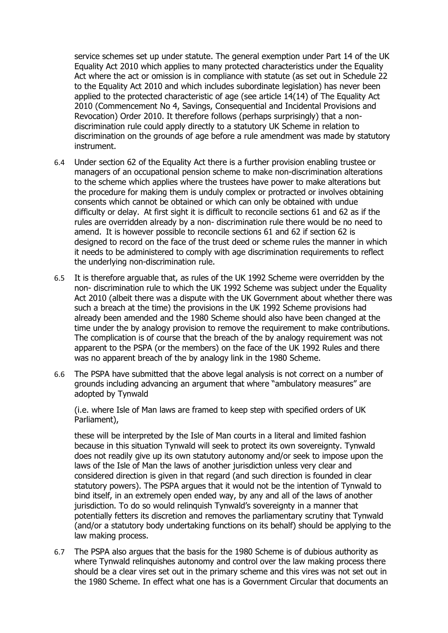service schemes set up under statute. The general exemption under Part 14 of the UK Equality Act 2010 which applies to many protected characteristics under the Equality Act where the act or omission is in compliance with statute (as set out in Schedule 22 to the Equality Act 2010 and which includes subordinate legislation) has never been applied to the protected characteristic of age (see article 14(14) of The Equality Act 2010 (Commencement No 4, Savings, Consequential and Incidental Provisions and Revocation) Order 2010. It therefore follows (perhaps surprisingly) that a nondiscrimination rule could apply directly to a statutory UK Scheme in relation to discrimination on the grounds of age before a rule amendment was made by statutory instrument.

- 6.4 Under section 62 of the Equality Act there is a further provision enabling trustee or managers of an occupational pension scheme to make non-discrimination alterations to the scheme which applies where the trustees have power to make alterations but the procedure for making them is unduly complex or protracted or involves obtaining consents which cannot be obtained or which can only be obtained with undue difficulty or delay. At first sight it is difficult to reconcile sections 61 and 62 as if the rules are overridden already by a non- discrimination rule there would be no need to amend. It is however possible to reconcile sections 61 and 62 if section 62 is designed to record on the face of the trust deed or scheme rules the manner in which it needs to be administered to comply with age discrimination requirements to reflect the underlying non-discrimination rule.
- 6.5 It is therefore arguable that, as rules of the UK 1992 Scheme were overridden by the non- discrimination rule to which the UK 1992 Scheme was subject under the Equality Act 2010 (albeit there was a dispute with the UK Government about whether there was such a breach at the time) the provisions in the UK 1992 Scheme provisions had already been amended and the 1980 Scheme should also have been changed at the time under the by analogy provision to remove the requirement to make contributions. The complication is of course that the breach of the by analogy requirement was not apparent to the PSPA (or the members) on the face of the UK 1992 Rules and there was no apparent breach of the by analogy link in the 1980 Scheme.
- 6.6 The PSPA have submitted that the above legal analysis is not correct on a number of grounds including advancing an argument that where "ambulatory measures" are adopted by Tynwald

(i.e. where Isle of Man laws are framed to keep step with specified orders of UK Parliament),

these will be interpreted by the Isle of Man courts in a literal and limited fashion because in this situation Tynwald will seek to protect its own sovereignty. Tynwald does not readily give up its own statutory autonomy and/or seek to impose upon the laws of the Isle of Man the laws of another jurisdiction unless very clear and considered direction is given in that regard (and such direction is founded in clear statutory powers). The PSPA argues that it would not be the intention of Tynwald to bind itself, in an extremely open ended way, by any and all of the laws of another jurisdiction. To do so would relinquish Tynwald's sovereignty in a manner that potentially fetters its discretion and removes the parliamentary scrutiny that Tynwald (and/or a statutory body undertaking functions on its behalf) should be applying to the law making process.

6.7 The PSPA also argues that the basis for the 1980 Scheme is of dubious authority as where Tynwald relinquishes autonomy and control over the law making process there should be a clear vires set out in the primary scheme and this vires was not set out in the 1980 Scheme. In effect what one has is a Government Circular that documents an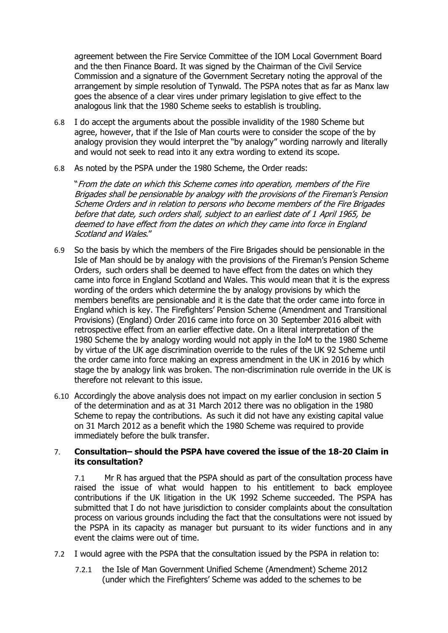agreement between the Fire Service Committee of the IOM Local Government Board and the then Finance Board. It was signed by the Chairman of the Civil Service Commission and a signature of the Government Secretary noting the approval of the arrangement by simple resolution of Tynwald. The PSPA notes that as far as Manx law goes the absence of a clear vires under primary legislation to give effect to the analogous link that the 1980 Scheme seeks to establish is troubling.

- 6.8 I do accept the arguments about the possible invalidity of the 1980 Scheme but agree, however, that if the Isle of Man courts were to consider the scope of the by analogy provision they would interpret the "by analogy" wording narrowly and literally and would not seek to read into it any extra wording to extend its scope.
- 6.8 As noted by the PSPA under the 1980 Scheme, the Order reads:

"From the date on which this Scheme comes into operation, members of the Fire Brigades shall be pensionable by analogy with the provisions of the Fireman's Pension Scheme Orders and in relation to persons who become members of the Fire Brigades before that date, such orders shall, subject to an earliest date of 1 April 1965, be deemed to have effect from the dates on which they came into force in England Scotland and Wales."

- 6.9 So the basis by which the members of the Fire Brigades should be pensionable in the Isle of Man should be by analogy with the provisions of the Fireman's Pension Scheme Orders, such orders shall be deemed to have effect from the dates on which they came into force in England Scotland and Wales. This would mean that it is the express wording of the orders which determine the by analogy provisions by which the members benefits are pensionable and it is the date that the order came into force in England which is key. The Firefighters' Pension Scheme (Amendment and Transitional Provisions) (England) Order 2016 came into force on 30 September 2016 albeit with retrospective effect from an earlier effective date. On a literal interpretation of the 1980 Scheme the by analogy wording would not apply in the IoM to the 1980 Scheme by virtue of the UK age discrimination override to the rules of the UK 92 Scheme until the order came into force making an express amendment in the UK in 2016 by which stage the by analogy link was broken. The non-discrimination rule override in the UK is therefore not relevant to this issue.
- 6.10 Accordingly the above analysis does not impact on my earlier conclusion in section 5 of the determination and as at 31 March 2012 there was no obligation in the 1980 Scheme to repay the contributions. As such it did not have any existing capital value on 31 March 2012 as a benefit which the 1980 Scheme was required to provide immediately before the bulk transfer.

## 7. **Consultation– should the PSPA have covered the issue of the 18-20 Claim in its consultation?**

7.1 Mr R has argued that the PSPA should as part of the consultation process have raised the issue of what would happen to his entitlement to back employee contributions if the UK litigation in the UK 1992 Scheme succeeded. The PSPA has submitted that I do not have jurisdiction to consider complaints about the consultation process on various grounds including the fact that the consultations were not issued by the PSPA in its capacity as manager but pursuant to its wider functions and in any event the claims were out of time.

- 7.2 I would agree with the PSPA that the consultation issued by the PSPA in relation to:
	- 7.2.1 the Isle of Man Government Unified Scheme (Amendment) Scheme 2012 (under which the Firefighters' Scheme was added to the schemes to be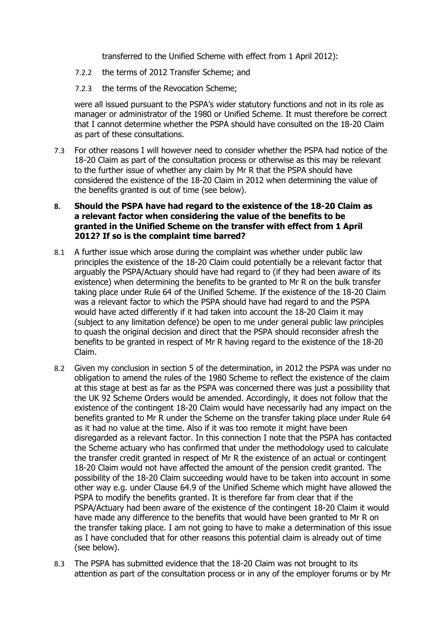transferred to the Unified Scheme with effect from 1 April 2012):

- 7.2.2 the terms of 2012 Transfer Scheme; and
- 7.2.3 the terms of the Revocation Scheme;

were all issued pursuant to the PSPA's wider statutory functions and not in its role as manager or administrator of the 1980 or Unified Scheme. It must therefore be correct that I cannot determine whether the PSPA should have consulted on the 18-20 Claim as part of these consultations.

7.3 For other reasons I will however need to consider whether the PSPA had notice of the 18-20 Claim as part of the consultation process or otherwise as this may be relevant to the further issue of whether any claim by Mr R that the PSPA should have considered the existence of the 18-20 Claim in 2012 when determining the value of the benefits granted is out of time (see below).

### **8. Should the PSPA have had regard to the existence of the 18-20 Claim as a relevant factor when considering the value of the benefits to be granted in the Unified Scheme on the transfer with effect from 1 April 2012? If so is the complaint time barred?**

- 8.1 A further issue which arose during the complaint was whether under public law principles the existence of the 18-20 Claim could potentially be a relevant factor that arguably the PSPA/Actuary should have had regard to (if they had been aware of its existence) when determining the benefits to be granted to Mr R on the bulk transfer taking place under Rule 64 of the Unified Scheme. If the existence of the 18-20 Claim was a relevant factor to which the PSPA should have had regard to and the PSPA would have acted differently if it had taken into account the 18-20 Claim it may (subject to any limitation defence) be open to me under general public law principles to quash the original decision and direct that the PSPA should reconsider afresh the benefits to be granted in respect of Mr R having regard to the existence of the 18-20 Claim.
- 8.2 Given my conclusion in section 5 of the determination, in 2012 the PSPA was under no obligation to amend the rules of the 1980 Scheme to reflect the existence of the claim at this stage at best as far as the PSPA was concerned there was just a possibility that the UK 92 Scheme Orders would be amended. Accordingly, it does not follow that the existence of the contingent 18-20 Claim would have necessarily had any impact on the benefits granted to Mr R under the Scheme on the transfer taking place under Rule 64 as it had no value at the time. Also if it was too remote it might have been disregarded as a relevant factor. In this connection I note that the PSPA has contacted the Scheme actuary who has confirmed that under the methodology used to calculate the transfer credit granted in respect of Mr R the existence of an actual or contingent 18-20 Claim would not have affected the amount of the pension credit granted. The possibility of the 18-20 Claim succeeding would have to be taken into account in some other way e.g. under Clause 64.9 of the Unified Scheme which might have allowed the PSPA to modify the benefits granted. It is therefore far from clear that if the PSPA/Actuary had been aware of the existence of the contingent 18-20 Claim it would have made any difference to the benefits that would have been granted to Mr R on the transfer taking place. I am not going to have to make a determination of this issue as I have concluded that for other reasons this potential claim is already out of time (see below).
- 8.3 The PSPA has submitted evidence that the 18-20 Claim was not brought to its attention as part of the consultation process or in any of the employer forums or by Mr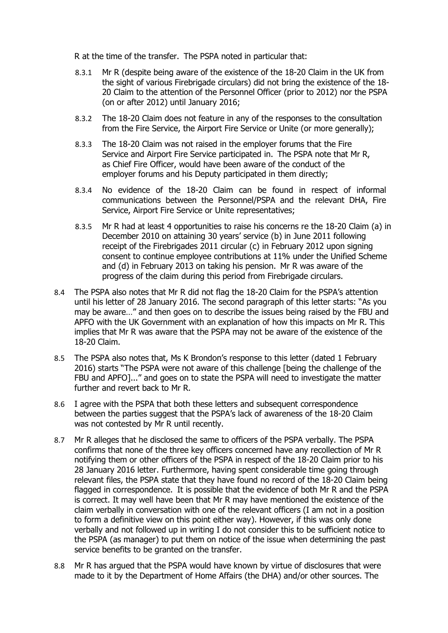R at the time of the transfer. The PSPA noted in particular that:

- 8.3.1 Mr R (despite being aware of the existence of the 18-20 Claim in the UK from the sight of various Firebrigade circulars) did not bring the existence of the 18- 20 Claim to the attention of the Personnel Officer (prior to 2012) nor the PSPA (on or after 2012) until January 2016;
- 8.3.2 The 18-20 Claim does not feature in any of the responses to the consultation from the Fire Service, the Airport Fire Service or Unite (or more generally);
- 8.3.3 The 18-20 Claim was not raised in the employer forums that the Fire Service and Airport Fire Service participated in. The PSPA note that Mr R, as Chief Fire Officer, would have been aware of the conduct of the employer forums and his Deputy participated in them directly;
- 8.3.4 No evidence of the 18-20 Claim can be found in respect of informal communications between the Personnel/PSPA and the relevant DHA, Fire Service, Airport Fire Service or Unite representatives;
- 8.3.5 Mr R had at least 4 opportunities to raise his concerns re the 18-20 Claim (a) in December 2010 on attaining 30 years' service (b) in June 2011 following receipt of the Firebrigades 2011 circular (c) in February 2012 upon signing consent to continue employee contributions at 11% under the Unified Scheme and (d) in February 2013 on taking his pension. Mr R was aware of the progress of the claim during this period from Firebrigade circulars.
- 8.4 The PSPA also notes that Mr R did not flag the 18-20 Claim for the PSPA's attention until his letter of 28 January 2016. The second paragraph of this letter starts: "As you may be aware…" and then goes on to describe the issues being raised by the FBU and APFO with the UK Government with an explanation of how this impacts on Mr R. This implies that Mr R was aware that the PSPA may not be aware of the existence of the 18-20 Claim.
- 8.5 The PSPA also notes that, Ms K Brondon's response to this letter (dated 1 February 2016) starts "The PSPA were not aware of this challenge [being the challenge of the FBU and APFO]..." and goes on to state the PSPA will need to investigate the matter further and revert back to Mr R.
- 8.6 I agree with the PSPA that both these letters and subsequent correspondence between the parties suggest that the PSPA's lack of awareness of the 18-20 Claim was not contested by Mr R until recently.
- 8.7 Mr R alleges that he disclosed the same to officers of the PSPA verbally. The PSPA confirms that none of the three key officers concerned have any recollection of Mr R notifying them or other officers of the PSPA in respect of the 18-20 Claim prior to his 28 January 2016 letter. Furthermore, having spent considerable time going through relevant files, the PSPA state that they have found no record of the 18-20 Claim being flagged in correspondence. It is possible that the evidence of both Mr R and the PSPA is correct. It may well have been that Mr R may have mentioned the existence of the claim verbally in conversation with one of the relevant officers (I am not in a position to form a definitive view on this point either way). However, if this was only done verbally and not followed up in writing I do not consider this to be sufficient notice to the PSPA (as manager) to put them on notice of the issue when determining the past service benefits to be granted on the transfer.
- 8.8 Mr R has argued that the PSPA would have known by virtue of disclosures that were made to it by the Department of Home Affairs (the DHA) and/or other sources. The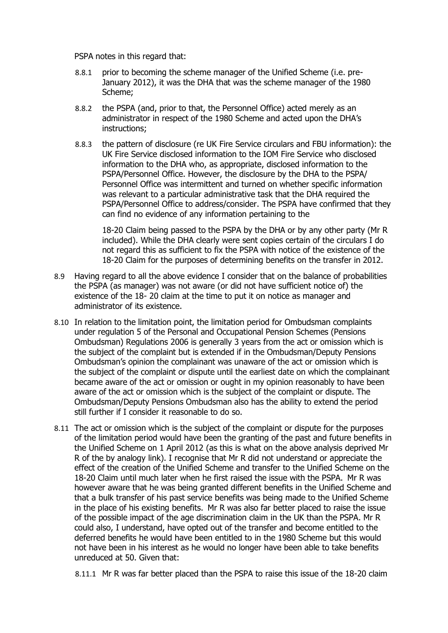PSPA notes in this regard that:

- 8.8.1 prior to becoming the scheme manager of the Unified Scheme (i.e. pre-January 2012), it was the DHA that was the scheme manager of the 1980 Scheme;
- 8.8.2 the PSPA (and, prior to that, the Personnel Office) acted merely as an administrator in respect of the 1980 Scheme and acted upon the DHA's instructions;
- 8.8.3 the pattern of disclosure (re UK Fire Service circulars and FBU information): the UK Fire Service disclosed information to the IOM Fire Service who disclosed information to the DHA who, as appropriate, disclosed information to the PSPA/Personnel Office. However, the disclosure by the DHA to the PSPA/ Personnel Office was intermittent and turned on whether specific information was relevant to a particular administrative task that the DHA required the PSPA/Personnel Office to address/consider. The PSPA have confirmed that they can find no evidence of any information pertaining to the

18-20 Claim being passed to the PSPA by the DHA or by any other party (Mr R included). While the DHA clearly were sent copies certain of the circulars I do not regard this as sufficient to fix the PSPA with notice of the existence of the 18-20 Claim for the purposes of determining benefits on the transfer in 2012.

- 8.9 Having regard to all the above evidence I consider that on the balance of probabilities the PSPA (as manager) was not aware (or did not have sufficient notice of) the existence of the 18- 20 claim at the time to put it on notice as manager and administrator of its existence.
- 8.10 In relation to the limitation point, the limitation period for Ombudsman complaints under regulation 5 of the Personal and Occupational Pension Schemes (Pensions Ombudsman) Regulations 2006 is generally 3 years from the act or omission which is the subject of the complaint but is extended if in the Ombudsman/Deputy Pensions Ombudsman's opinion the complainant was unaware of the act or omission which is the subject of the complaint or dispute until the earliest date on which the complainant became aware of the act or omission or ought in my opinion reasonably to have been aware of the act or omission which is the subject of the complaint or dispute. The Ombudsman/Deputy Pensions Ombudsman also has the ability to extend the period still further if I consider it reasonable to do so.
- 8.11 The act or omission which is the subject of the complaint or dispute for the purposes of the limitation period would have been the granting of the past and future benefits in the Unified Scheme on 1 April 2012 (as this is what on the above analysis deprived Mr R of the by analogy link). I recognise that Mr R did not understand or appreciate the effect of the creation of the Unified Scheme and transfer to the Unified Scheme on the 18-20 Claim until much later when he first raised the issue with the PSPA. Mr R was however aware that he was being granted different benefits in the Unified Scheme and that a bulk transfer of his past service benefits was being made to the Unified Scheme in the place of his existing benefits. Mr R was also far better placed to raise the issue of the possible impact of the age discrimination claim in the UK than the PSPA. Mr R could also, I understand, have opted out of the transfer and become entitled to the deferred benefits he would have been entitled to in the 1980 Scheme but this would not have been in his interest as he would no longer have been able to take benefits unreduced at 50. Given that:

8.11.1 Mr R was far better placed than the PSPA to raise this issue of the 18-20 claim